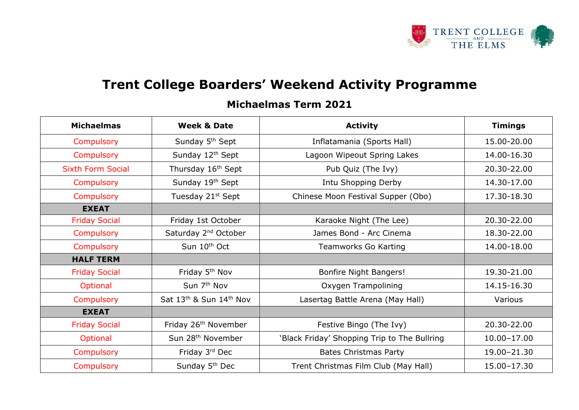

## **Trent College Boarders' Weekend Activity Programme**

## **Michaelmas Term 2021**

| <b>Michaelmas</b>        | <b>Week &amp; Date</b>                                      | <b>Activity</b>                              | <b>Timings</b>  |
|--------------------------|-------------------------------------------------------------|----------------------------------------------|-----------------|
| Compulsory               | Sunday 5 <sup>th</sup> Sept                                 | Inflatamania (Sports Hall)                   | 15.00-20.00     |
| Compulsory               | Sunday 12th Sept                                            | Lagoon Wipeout Spring Lakes                  | 14.00-16.30     |
| <b>Sixth Form Social</b> | Thursday 16 <sup>th</sup> Sept<br>Pub Quiz (The Ivy)        |                                              | 20.30-22.00     |
| Compulsory               | Sunday 19th Sept<br>Intu Shopping Derby                     |                                              | 14.30-17.00     |
| Compulsory               | Tuesday 21st Sept                                           | Chinese Moon Festival Supper (Obo)           | 17.30-18.30     |
| <b>EXEAT</b>             |                                                             |                                              |                 |
| <b>Friday Social</b>     | Friday 1st October                                          | Karaoke Night (The Lee)                      | 20.30-22.00     |
| Compulsory               | Saturday 2 <sup>nd</sup> October                            | James Bond - Arc Cinema                      | 18.30-22.00     |
| Compulsory               | Sun 10 <sup>th</sup> Oct                                    | Teamworks Go Karting                         | 14.00-18.00     |
| <b>HALF TERM</b>         |                                                             |                                              |                 |
| <b>Friday Social</b>     | Friday 5 <sup>th</sup> Nov<br><b>Bonfire Night Bangers!</b> |                                              | 19.30-21.00     |
| Optional                 | Sun 7 <sup>th</sup> Nov                                     | Oxygen Trampolining                          | 14.15-16.30     |
| Compulsory               | Sat 13th & Sun 14th Nov                                     | Lasertag Battle Arena (May Hall)             | Various         |
| <b>EXEAT</b>             |                                                             |                                              |                 |
| <b>Friday Social</b>     | Friday 26 <sup>th</sup> November                            | Festive Bingo (The Ivy)                      | 20.30-22.00     |
| Optional                 | Sun 28 <sup>th</sup> November                               | 'Black Friday' Shopping Trip to The Bullring | $10.00 - 17.00$ |
| Compulsory               | Friday 3rd Dec                                              | <b>Bates Christmas Party</b>                 | 19.00-21.30     |
| Compulsory               | Sunday 5 <sup>th</sup> Dec                                  | Trent Christmas Film Club (May Hall)         | 15.00-17.30     |